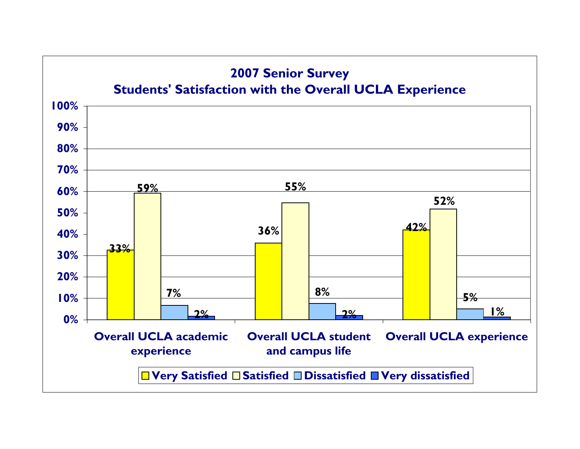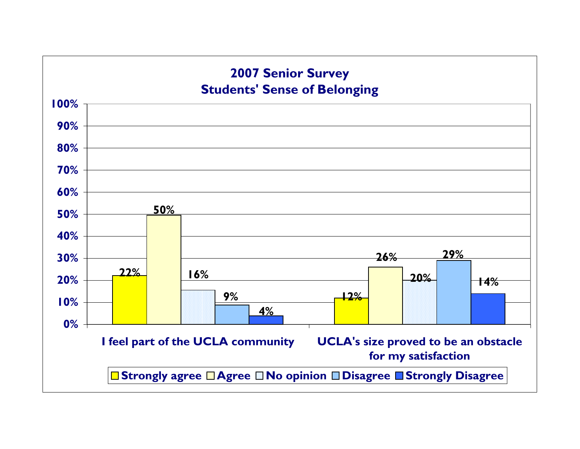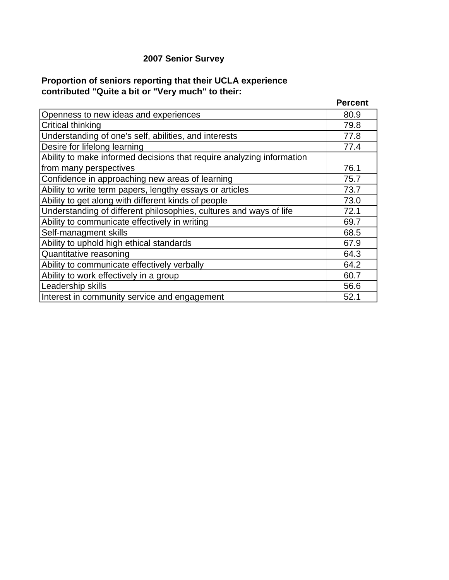## **2007 Senior Survey**

## **Proportion of seniors reporting that their UCLA experience contributed "Quite a bit or "Very much" to their:**

|                                                                       | <b>Percent</b> |
|-----------------------------------------------------------------------|----------------|
| Openness to new ideas and experiences                                 | 80.9           |
| <b>Critical thinking</b>                                              | 79.8           |
| Understanding of one's self, abilities, and interests                 | 77.8           |
| Desire for lifelong learning                                          | 77.4           |
| Ability to make informed decisions that require analyzing information |                |
| from many perspectives                                                | 76.1           |
| Confidence in approaching new areas of learning                       | 75.7           |
| Ability to write term papers, lengthy essays or articles              | 73.7           |
| Ability to get along with different kinds of people                   | 73.0           |
| Understanding of different philosophies, cultures and ways of life    | 72.1           |
| Ability to communicate effectively in writing                         | 69.7           |
| Self-managment skills                                                 | 68.5           |
| Ability to uphold high ethical standards                              | 67.9           |
| Quantitative reasoning                                                | 64.3           |
| Ability to communicate effectively verbally                           | 64.2           |
| Ability to work effectively in a group                                | 60.7           |
| Leadership skills                                                     | 56.6           |
| Interest in community service and engagement                          | 52.1           |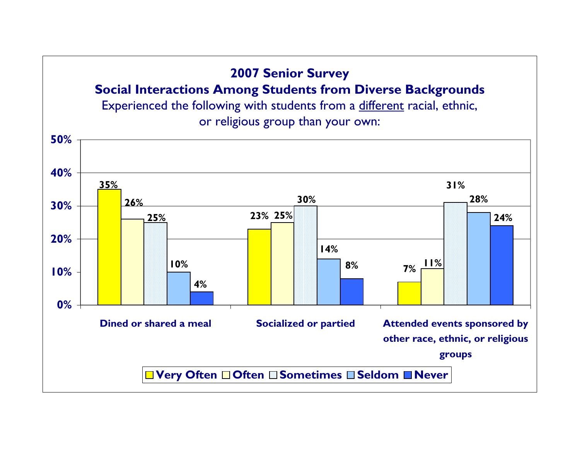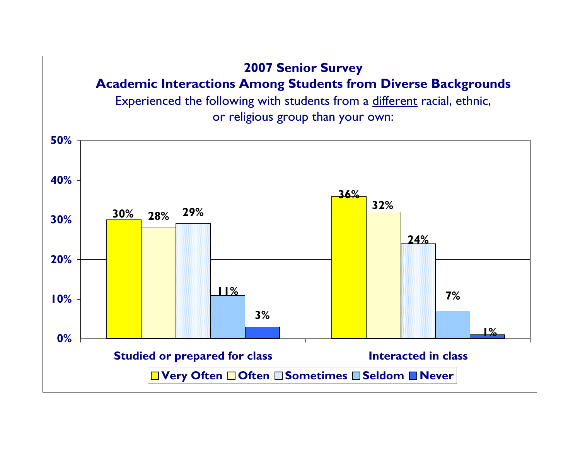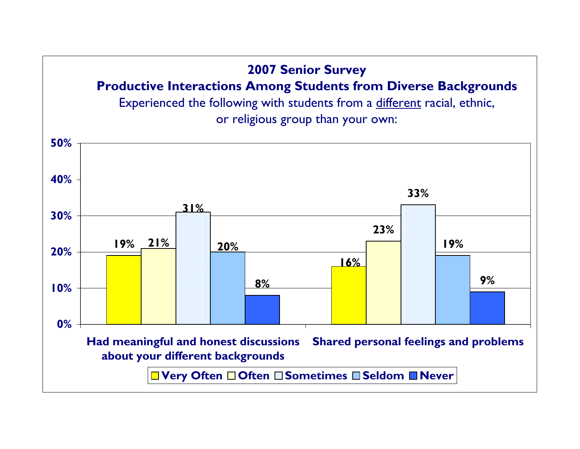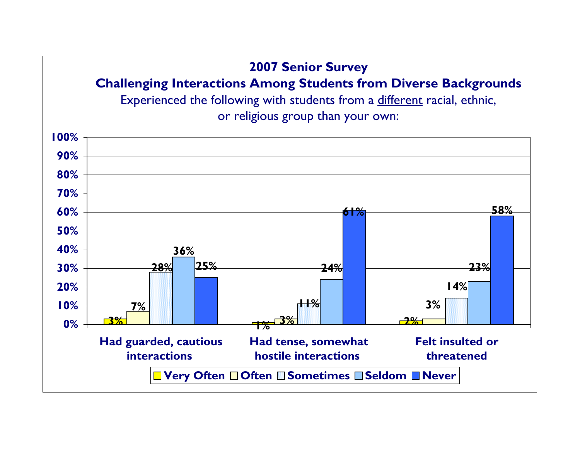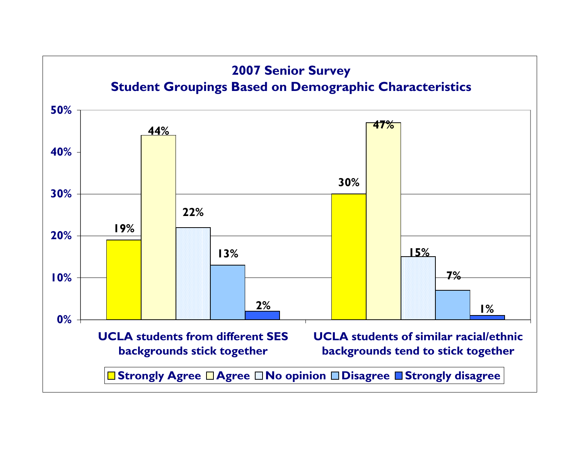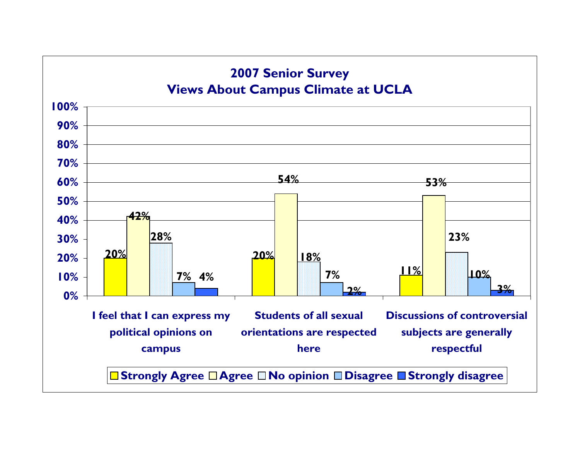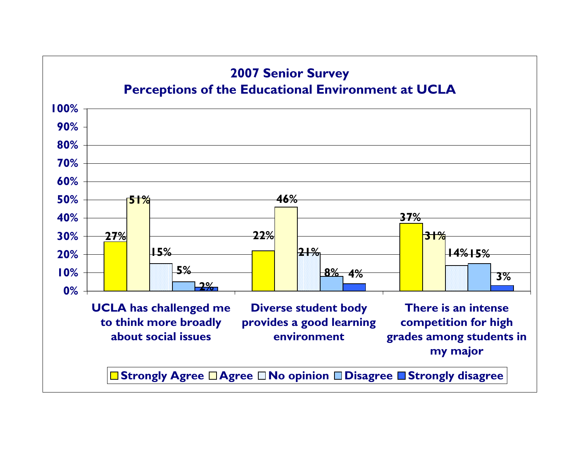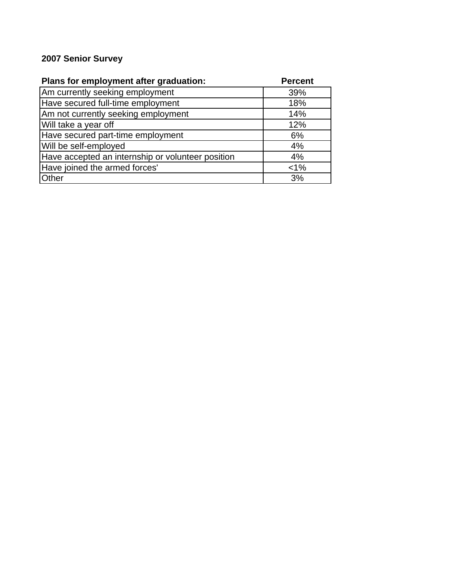## **2007 Senior Survey**

| Plans for employment after graduation:            | <b>Percent</b> |
|---------------------------------------------------|----------------|
| Am currently seeking employment                   | 39%            |
| Have secured full-time employment                 | 18%            |
| Am not currently seeking employment               | 14%            |
| Will take a year off                              | 12%            |
| Have secured part-time employment                 | 6%             |
| Will be self-employed                             | 4%             |
| Have accepted an internship or volunteer position | 4%             |
| Have joined the armed forces'                     | $< 1\%$        |
| <b>Other</b>                                      | 3%             |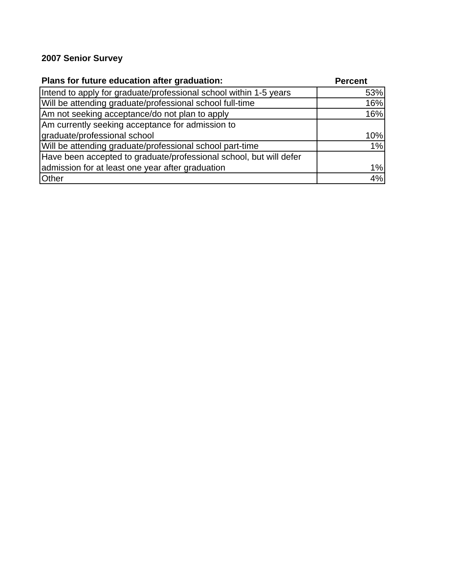## **2007 Senior Survey**

| Plans for future education after graduation:                       | <b>Percent</b> |
|--------------------------------------------------------------------|----------------|
| Intend to apply for graduate/professional school within 1-5 years  | 53%            |
| Will be attending graduate/professional school full-time           | 16%            |
| Am not seeking acceptance/do not plan to apply                     | 16%            |
| Am currently seeking acceptance for admission to                   |                |
| graduate/professional school                                       | 10%            |
| Will be attending graduate/professional school part-time           | 1%             |
| Have been accepted to graduate/professional school, but will defer |                |
| admission for at least one year after graduation                   | 1%             |
| Other                                                              | 4%             |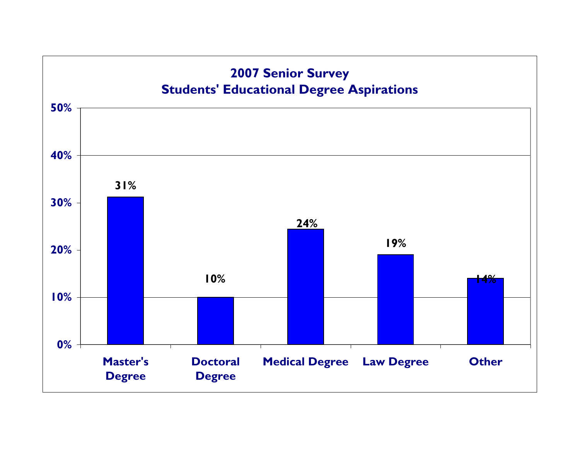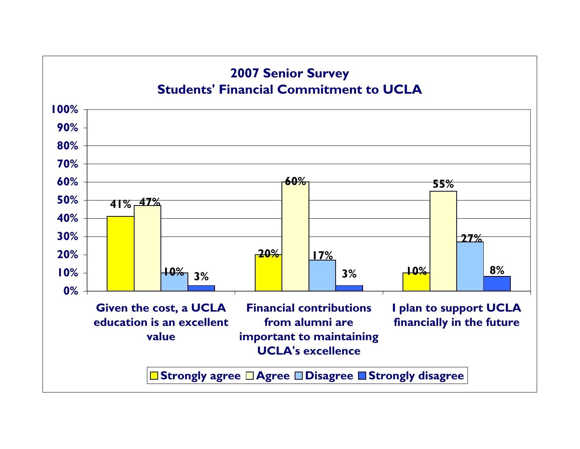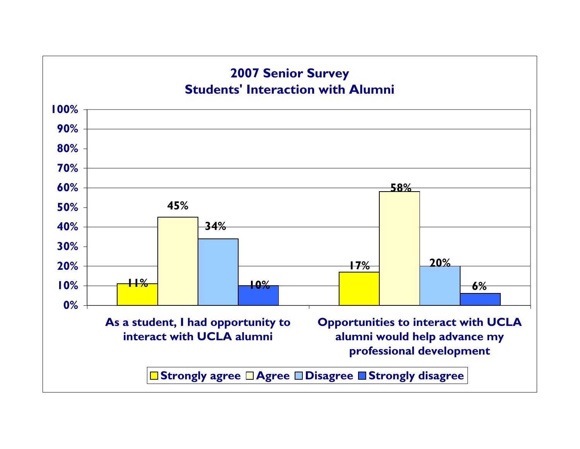